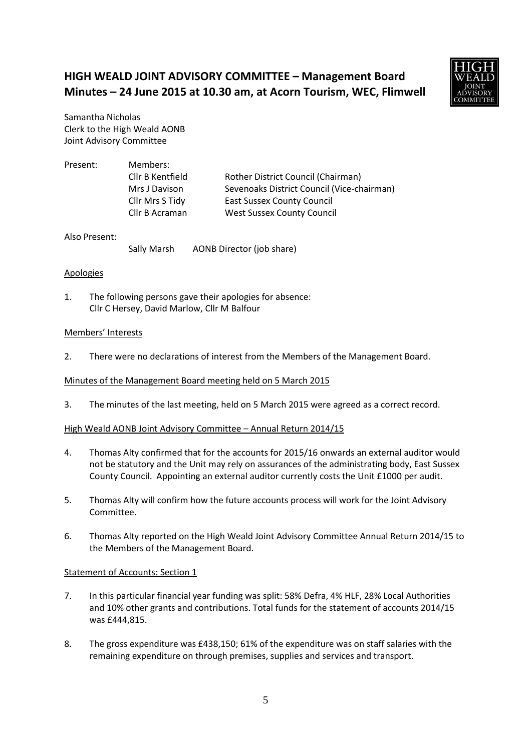# **HIGH WEALD JOINT ADVISORY COMMITTEE – Management Board Minutes – 24 June 2015 at 10.30 am, at Acorn Tourism, WEC, Flimwell**



Samantha Nicholas Clerk to the High Weald AONB Joint Advisory Committee

| Present: | Members:         |                                            |
|----------|------------------|--------------------------------------------|
|          | Cllr B Kentfield | Rother District Council (Chairman)         |
|          | Mrs J Davison    | Sevenoaks District Council (Vice-chairman) |
|          | Cllr Mrs S Tidy  | <b>East Sussex County Council</b>          |
|          | Cllr B Acraman   | <b>West Sussex County Council</b>          |

# Also Present:

Sally Marsh AONB Director (job share)

# Apologies

1. The following persons gave their apologies for absence: Cllr C Hersey, David Marlow, Cllr M Balfour

#### Members' Interests

2. There were no declarations of interest from the Members of the Management Board.

# Minutes of the Management Board meeting held on 5 March 2015

3. The minutes of the last meeting, held on 5 March 2015 were agreed as a correct record.

# High Weald AONB Joint Advisory Committee – Annual Return 2014/15

- 4. Thomas Alty confirmed that for the accounts for 2015/16 onwards an external auditor would not be statutory and the Unit may rely on assurances of the administrating body, East Sussex County Council. Appointing an external auditor currently costs the Unit £1000 per audit.
- 5. Thomas Alty will confirm how the future accounts process will work for the Joint Advisory Committee.
- 6. Thomas Alty reported on the High Weald Joint Advisory Committee Annual Return 2014/15 to the Members of the Management Board.

#### Statement of Accounts: Section 1

- 7. In this particular financial year funding was split: 58% Defra, 4% HLF, 28% Local Authorities and 10% other grants and contributions. Total funds for the statement of accounts 2014/15 was £444,815.
- 8. The gross expenditure was £438,150; 61% of the expenditure was on staff salaries with the remaining expenditure on through premises, supplies and services and transport.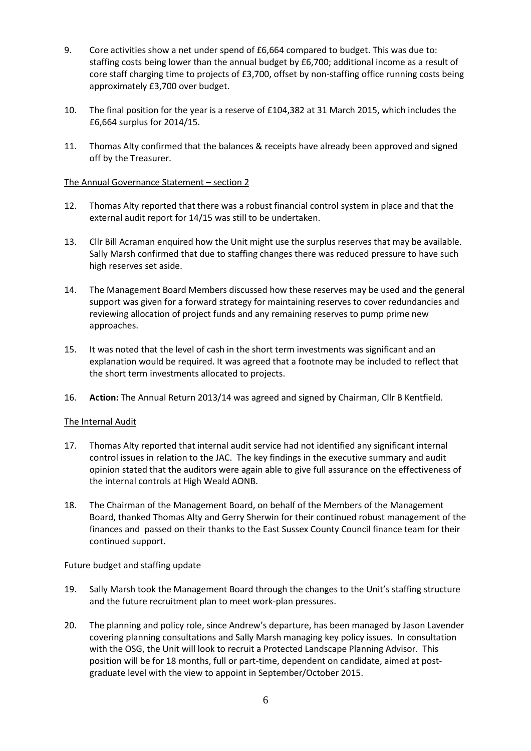- 9. Core activities show a net under spend of £6,664 compared to budget. This was due to: staffing costs being lower than the annual budget by £6,700; additional income as a result of core staff charging time to projects of £3,700, offset by non-staffing office running costs being approximately £3,700 over budget.
- 10. The final position for the year is a reserve of £104,382 at 31 March 2015, which includes the £6,664 surplus for 2014/15.
- 11. Thomas Alty confirmed that the balances & receipts have already been approved and signed off by the Treasurer.

# The Annual Governance Statement – section 2

- 12. Thomas Alty reported that there was a robust financial control system in place and that the external audit report for 14/15 was still to be undertaken.
- 13. Cllr Bill Acraman enquired how the Unit might use the surplus reserves that may be available. Sally Marsh confirmed that due to staffing changes there was reduced pressure to have such high reserves set aside.
- 14. The Management Board Members discussed how these reserves may be used and the general support was given for a forward strategy for maintaining reserves to cover redundancies and reviewing allocation of project funds and any remaining reserves to pump prime new approaches.
- 15. It was noted that the level of cash in the short term investments was significant and an explanation would be required. It was agreed that a footnote may be included to reflect that the short term investments allocated to projects.
- 16. **Action:** The Annual Return 2013/14 was agreed and signed by Chairman, Cllr B Kentfield.

# The Internal Audit

- 17. Thomas Alty reported that internal audit service had not identified any significant internal control issues in relation to the JAC. The key findings in the executive summary and audit opinion stated that the auditors were again able to give full assurance on the effectiveness of the internal controls at High Weald AONB.
- 18. The Chairman of the Management Board, on behalf of the Members of the Management Board, thanked Thomas Alty and Gerry Sherwin for their continued robust management of the finances and passed on their thanks to the East Sussex County Council finance team for their continued support.

# Future budget and staffing update

- 19. Sally Marsh took the Management Board through the changes to the Unit's staffing structure and the future recruitment plan to meet work-plan pressures.
- 20. The planning and policy role, since Andrew's departure, has been managed by Jason Lavender covering planning consultations and Sally Marsh managing key policy issues. In consultation with the OSG, the Unit will look to recruit a Protected Landscape Planning Advisor. This position will be for 18 months, full or part-time, dependent on candidate, aimed at postgraduate level with the view to appoint in September/October 2015.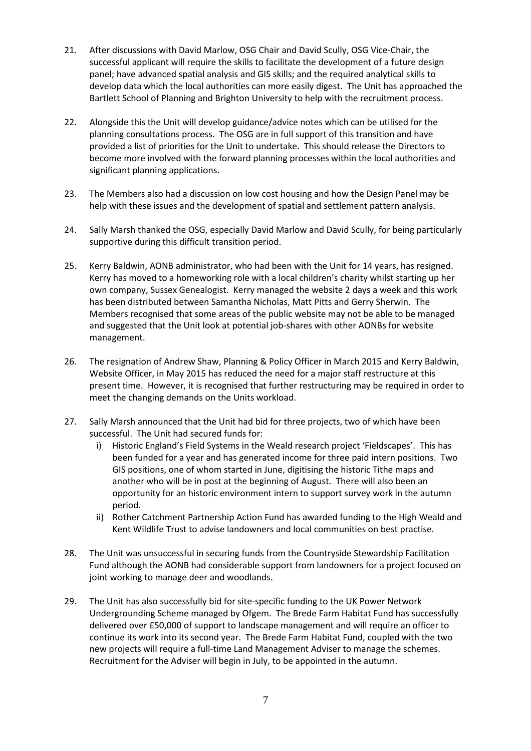- 21. After discussions with David Marlow, OSG Chair and David Scully, OSG Vice-Chair, the successful applicant will require the skills to facilitate the development of a future design panel; have advanced spatial analysis and GIS skills; and the required analytical skills to develop data which the local authorities can more easily digest. The Unit has approached the Bartlett School of Planning and Brighton University to help with the recruitment process.
- 22. Alongside this the Unit will develop guidance/advice notes which can be utilised for the planning consultations process. The OSG are in full support of this transition and have provided a list of priorities for the Unit to undertake. This should release the Directors to become more involved with the forward planning processes within the local authorities and significant planning applications.
- 23. The Members also had a discussion on low cost housing and how the Design Panel may be help with these issues and the development of spatial and settlement pattern analysis.
- 24. Sally Marsh thanked the OSG, especially David Marlow and David Scully, for being particularly supportive during this difficult transition period.
- 25. Kerry Baldwin, AONB administrator, who had been with the Unit for 14 years, has resigned. Kerry has moved to a homeworking role with a local children's charity whilst starting up her own company, Sussex Genealogist. Kerry managed the website 2 days a week and this work has been distributed between Samantha Nicholas, Matt Pitts and Gerry Sherwin. The Members recognised that some areas of the public website may not be able to be managed and suggested that the Unit look at potential job-shares with other AONBs for website management.
- 26. The resignation of Andrew Shaw, Planning & Policy Officer in March 2015 and Kerry Baldwin, Website Officer, in May 2015 has reduced the need for a major staff restructure at this present time. However, it is recognised that further restructuring may be required in order to meet the changing demands on the Units workload.
- 27. Sally Marsh announced that the Unit had bid for three projects, two of which have been successful. The Unit had secured funds for:
	- i) Historic England's Field Systems in the Weald research project 'Fieldscapes'. This has been funded for a year and has generated income for three paid intern positions. Two GIS positions, one of whom started in June, digitising the historic Tithe maps and another who will be in post at the beginning of August. There will also been an opportunity for an historic environment intern to support survey work in the autumn period.
	- ii) Rother Catchment Partnership Action Fund has awarded funding to the High Weald and Kent Wildlife Trust to advise landowners and local communities on best practise.
- 28. The Unit was unsuccessful in securing funds from the Countryside Stewardship Facilitation Fund although the AONB had considerable support from landowners for a project focused on joint working to manage deer and woodlands.
- 29. The Unit has also successfully bid for site-specific funding to the UK Power Network Undergrounding Scheme managed by Ofgem. The Brede Farm Habitat Fund has successfully delivered over £50,000 of support to landscape management and will require an officer to continue its work into its second year. The Brede Farm Habitat Fund, coupled with the two new projects will require a full-time Land Management Adviser to manage the schemes. Recruitment for the Adviser will begin in July, to be appointed in the autumn.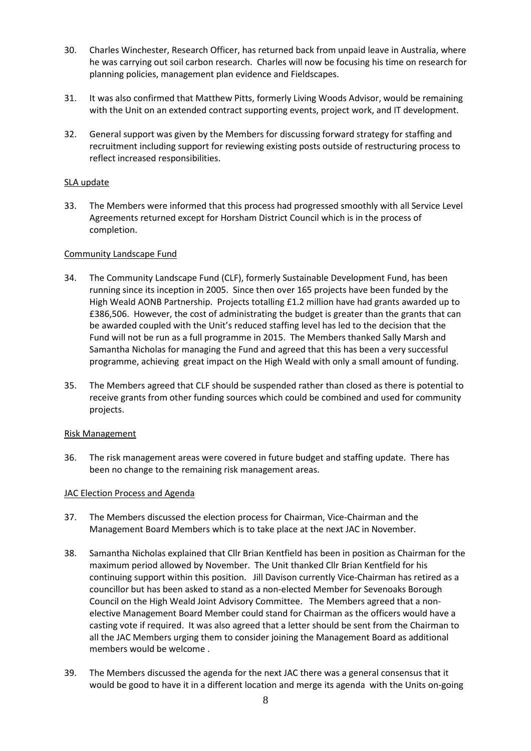- 30. Charles Winchester, Research Officer, has returned back from unpaid leave in Australia, where he was carrying out soil carbon research. Charles will now be focusing his time on research for planning policies, management plan evidence and Fieldscapes.
- 31. It was also confirmed that Matthew Pitts, formerly Living Woods Advisor, would be remaining with the Unit on an extended contract supporting events, project work, and IT development.
- 32. General support was given by the Members for discussing forward strategy for staffing and recruitment including support for reviewing existing posts outside of restructuring process to reflect increased responsibilities.

# SLA update

33. The Members were informed that this process had progressed smoothly with all Service Level Agreements returned except for Horsham District Council which is in the process of completion.

# Community Landscape Fund

- 34. The Community Landscape Fund (CLF), formerly Sustainable Development Fund, has been running since its inception in 2005. Since then over 165 projects have been funded by the High Weald AONB Partnership. Projects totalling £1.2 million have had grants awarded up to £386,506. However, the cost of administrating the budget is greater than the grants that can be awarded coupled with the Unit's reduced staffing level has led to the decision that the Fund will not be run as a full programme in 2015. The Members thanked Sally Marsh and Samantha Nicholas for managing the Fund and agreed that this has been a very successful programme, achieving great impact on the High Weald with only a small amount of funding.
- 35. The Members agreed that CLF should be suspended rather than closed as there is potential to receive grants from other funding sources which could be combined and used for community projects.

# Risk Management

36. The risk management areas were covered in future budget and staffing update. There has been no change to the remaining risk management areas.

# JAC Election Process and Agenda

- 37. The Members discussed the election process for Chairman, Vice-Chairman and the Management Board Members which is to take place at the next JAC in November.
- 38. Samantha Nicholas explained that Cllr Brian Kentfield has been in position as Chairman for the maximum period allowed by November. The Unit thanked Cllr Brian Kentfield for his continuing support within this position. Jill Davison currently Vice-Chairman has retired as a councillor but has been asked to stand as a non-elected Member for Sevenoaks Borough Council on the High Weald Joint Advisory Committee. The Members agreed that a nonelective Management Board Member could stand for Chairman as the officers would have a casting vote if required. It was also agreed that a letter should be sent from the Chairman to all the JAC Members urging them to consider joining the Management Board as additional members would be welcome .
- 39. The Members discussed the agenda for the next JAC there was a general consensus that it would be good to have it in a different location and merge its agenda with the Units on-going